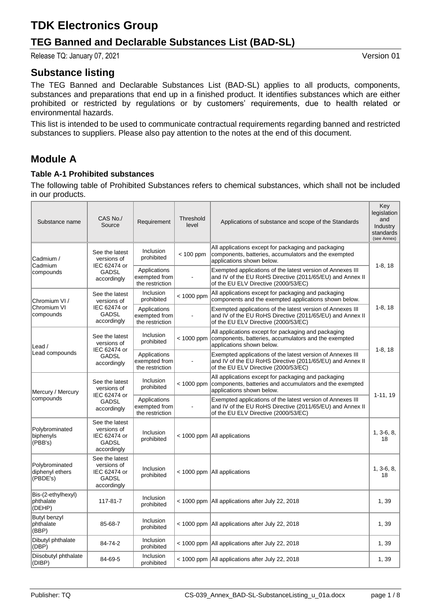## **TEG Banned and Declarable Substances List (BAD-SL)**

Release TQ: January 07, 2021 2008 2009 2009 2012 2021 2012 2021 2022 2030 2041 205 206 207 208 209 2012 2021 20

## **Substance listing**

The TEG Banned and Declarable Substances List (BAD-SL) applies to all products, components, substances and preparations that end up in a finished product. It identifies substances which are either prohibited or restricted by regulations or by customers' requirements, due to health related or environmental hazards.

This list is intended to be used to communicate contractual requirements regarding banned and restricted substances to suppliers. Please also pay attention to the notes at the end of this document.

## **Module A**

#### **Table A-1 Prohibited substances**

The following table of Prohibited Substances refers to chemical substances, which shall not be included in our products.

| Substance name                                | CAS No./<br>Source                                                           | Requirement                                      | Threshold<br>level | Applications of substance and scope of the Standards                                                                                                            | Key<br>legislation<br>and<br>Industry<br>standards<br>(see Annex) |
|-----------------------------------------------|------------------------------------------------------------------------------|--------------------------------------------------|--------------------|-----------------------------------------------------------------------------------------------------------------------------------------------------------------|-------------------------------------------------------------------|
| Cadmium /<br>Cadmium                          | See the latest<br>versions of                                                | Inclusion<br>prohibited                          | $< 100$ ppm        | All applications except for packaging and packaging<br>components, batteries, accumulators and the exempted<br>applications shown below.                        | $1-8, 18$                                                         |
| compounds                                     | IEC 62474 or<br><b>GADSL</b><br>accordingly                                  | Applications<br>exempted from<br>the restriction |                    | Exempted applications of the latest version of Annexes III<br>and IV of the EU RoHS Directive (2011/65/EU) and Annex II<br>of the EU ELV Directive (2000/53/EC) |                                                                   |
| Chromium VI /                                 | See the latest<br>versions of                                                | Inclusion<br>prohibited                          | $< 1000$ ppm       | All applications except for packaging and packaging<br>components and the exempted applications shown below.                                                    |                                                                   |
| Chromium VI<br>compounds                      | IEC 62474 or<br><b>GADSL</b><br>accordingly                                  | Applications<br>exempted from<br>the restriction |                    | Exempted applications of the latest version of Annexes III<br>and IV of the EU RoHS Directive (2011/65/EU) and Annex II<br>of the EU ELV Directive (2000/53/EC) | $1-8, 18$                                                         |
| Lead /                                        | See the latest<br>versions of<br>IEC 62474 or                                | Inclusion<br>prohibited                          | $< 1000$ ppm       | All applications except for packaging and packaging<br>components, batteries, accumulators and the exempted<br>applications shown below.                        | $1-8, 18$                                                         |
| Lead compounds                                | <b>GADSL</b><br>accordingly                                                  | Applications<br>exempted from<br>the restriction |                    | Exempted applications of the latest version of Annexes III<br>and IV of the EU RoHS Directive (2011/65/EU) and Annex II<br>of the EU ELV Directive (2000/53/EC) |                                                                   |
| Mercury / Mercury                             | See the latest<br>versions of<br>IEC 62474 or<br>GADSL<br>accordingly        | Inclusion<br>prohibited                          | $< 1000$ ppm       | All applications except for packaging and packaging<br>components, batteries and accumulators and the exempted<br>applications shown below.                     |                                                                   |
| compounds                                     |                                                                              | Applications<br>exempted from<br>the restriction |                    | Exempted applications of the latest version of Annexes III<br>and IV of the EU RoHS Directive (2011/65/EU) and Annex II<br>of the EU ELV Directive (2000/53/EC) | $1-11, 19$                                                        |
| Polybrominated<br>biphenyls<br>(PBB's)        | See the latest<br>versions of<br>IEC 62474 or<br><b>GADSL</b><br>accordingly | Inclusion<br>prohibited                          |                    | $<$ 1000 ppm $ $ All applications                                                                                                                               | $1, 3-6, 8,$<br>18                                                |
| Polybrominated<br>diphenyl ethers<br>(PBDE's) | See the latest<br>versions of<br>IEC 62474 or<br><b>GADSL</b><br>accordingly | Inclusion<br>prohibited                          |                    | $<$ 1000 ppm   All applications                                                                                                                                 | $1, 3-6, 8,$<br>18                                                |
| Bis-(2-ethylhexyl)<br>phthalate<br>(DEHP)     | 117-81-7                                                                     | Inclusion<br>prohibited                          |                    | < 1000 ppm   All applications after July 22, 2018                                                                                                               | 1,39                                                              |
| <b>Butyl benzyl</b><br>phthalate<br>(BBP)     | 85-68-7                                                                      | Inclusion<br>prohibited                          |                    | < 1000 ppm All applications after July 22, 2018                                                                                                                 | 1,39                                                              |
| Dibutyl phthalate<br>(DBP)                    | 84-74-2                                                                      | Inclusion<br>prohibited                          |                    | < 1000 ppm All applications after July 22, 2018                                                                                                                 | 1,39                                                              |
| Diisobutyl phthalate<br>(DIBP)                | 84-69-5                                                                      | Inclusion<br>prohibited                          |                    | < 1000 ppm   All applications after July 22, 2018                                                                                                               | 1,39                                                              |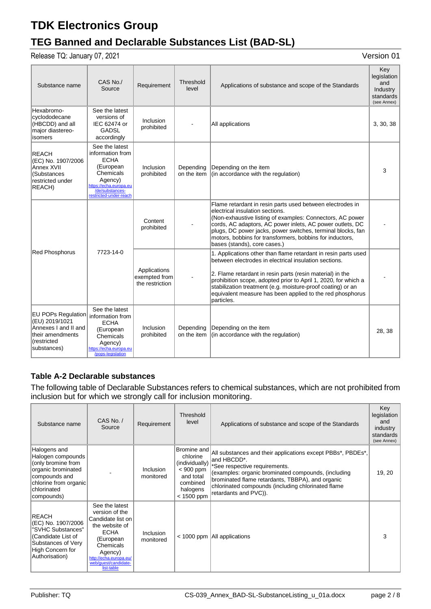## **TEG Banned and Declarable Substances List (BAD-SL)**

Release TQ: January 07, 2021 2008 2009 2009 2012 2021 2012 2021 2022 2030 2041 205 206 207 208 209 2012 2021 20

| Substance name                                                                                                        | CAS No./<br>Source                                                                                                                                            | Requirement             | Threshold<br>level                                                                                                                                                                                                                                                                                                                                                                               | Applications of substance and scope of the Standards         | Key<br>legislation<br>and<br>Industry<br>standards<br>(see Annex) |
|-----------------------------------------------------------------------------------------------------------------------|---------------------------------------------------------------------------------------------------------------------------------------------------------------|-------------------------|--------------------------------------------------------------------------------------------------------------------------------------------------------------------------------------------------------------------------------------------------------------------------------------------------------------------------------------------------------------------------------------------------|--------------------------------------------------------------|-------------------------------------------------------------------|
| Hexabromo-<br>cyclododecane<br>(HBCDD) and all<br>major diastereo-<br>isomers                                         | See the latest<br>versions of<br>IEC 62474 or<br><b>GADSL</b><br>accordingly                                                                                  | Inclusion<br>prohibited |                                                                                                                                                                                                                                                                                                                                                                                                  | All applications                                             | 3, 30, 38                                                         |
| <b>REACH</b><br>(EC) No. 1907/2006<br>Annex XVII<br>(Substances<br>restricted under<br><b>REACH)</b>                  | See the latest<br>information from<br><b>ECHA</b><br>(European<br>Chemicals<br>Agency)<br>https://echa.europa.eu<br>/de/substances-<br>restricted-under-reach | Inclusion<br>prohibited | Depending<br>on the item                                                                                                                                                                                                                                                                                                                                                                         | Depending on the item<br>(in accordance with the regulation) | 3                                                                 |
| <b>Red Phosphorus</b>                                                                                                 | Content<br>prohibited<br>7723-14-0<br>Applications<br>exempted from<br>the restriction                                                                        |                         | Flame retardant in resin parts used between electrodes in<br>electrical insulation sections.<br>(Non-exhaustive listing of examples: Connectors, AC power<br>cords, AC adaptors, AC power inlets, AC power outlets, DC<br>plugs, DC power jacks, power switches, terminal blocks, fan<br>motors, bobbins for transformers, bobbins for inductors,<br>bases (stands), core cases.)                |                                                              |                                                                   |
|                                                                                                                       |                                                                                                                                                               |                         | 1. Applications other than flame retardant in resin parts used<br>between electrodes in electrical insulation sections.<br>2. Flame retardant in resin parts (resin material) in the<br>prohibition scope, adopted prior to April 1, 2020, for which a<br>stabilization treatment (e.g. moisture-proof coating) or an<br>equivalent measure has been applied to the red phosphorus<br>particles. |                                                              |                                                                   |
| <b>EU POPs Regulation</b><br>(EU) 2019/1021<br>Annexes I and II and<br>their amendments<br>(restricted<br>substances) | See the latest<br>information from<br><b>ECHA</b><br>(European<br>Chemicals<br>Agency)<br>https://echa.europa.eu<br>/pops-legislation                         | Inclusion<br>prohibited | Depending<br>on the item                                                                                                                                                                                                                                                                                                                                                                         | Depending on the item<br>(in accordance with the regulation) | 28, 38                                                            |

### **Table A-2 Declarable substances**

The following table of Declarable Substances refers to chemical substances, which are not prohibited from inclusion but for which we strongly call for inclusion monitoring.

| Substance name                                                                                                                                       | CAS No. /<br>Source                                                                                                                                                                  | Requirement                   | Threshold<br>level                                                                                            | Applications of substance and scope of the Standards                                                                                                                                                                                                                                                  | Key<br>legislation<br>and<br>industry<br>standards<br>(see Annex) |
|------------------------------------------------------------------------------------------------------------------------------------------------------|--------------------------------------------------------------------------------------------------------------------------------------------------------------------------------------|-------------------------------|---------------------------------------------------------------------------------------------------------------|-------------------------------------------------------------------------------------------------------------------------------------------------------------------------------------------------------------------------------------------------------------------------------------------------------|-------------------------------------------------------------------|
| Halogens and<br>Halogen compounds<br>(only bromine from<br>organic brominated<br>compounds and<br>chlorine from organic<br>chlorinated<br>compounds) |                                                                                                                                                                                      | Inclusion<br>monitored        | Bromine and<br>chlorine<br>(individually)<br>$< 900$ ppm<br>and total<br>combined<br>halogens<br>$<$ 1500 ppm | All substances and their applications except PBBs*, PBDEs*,<br>and HBCDD*.<br>*See respective requirements.<br>(examples: organic brominated compounds, (including<br>brominated flame retardants, TBBPA), and organic<br>chlorinated compounds (including chlorinated flame<br>retardants and PVC)). | 19, 20                                                            |
| REACH<br>(EC) No. 1907/2006<br>"SVHC Substances"<br>(Candidate List of<br>Substances of Very<br>High Concern for<br>Authorisation)                   | See the latest<br>version of the<br>Candidate list on<br>the website of<br>ECHA<br>(European<br>Chemicals<br>Agency)<br>http://echa.europa.eu/<br>web/quest/candidate-<br>list-table | <b>Inclusion</b><br>monitored |                                                                                                               | < 1000 ppm   All applications                                                                                                                                                                                                                                                                         | З                                                                 |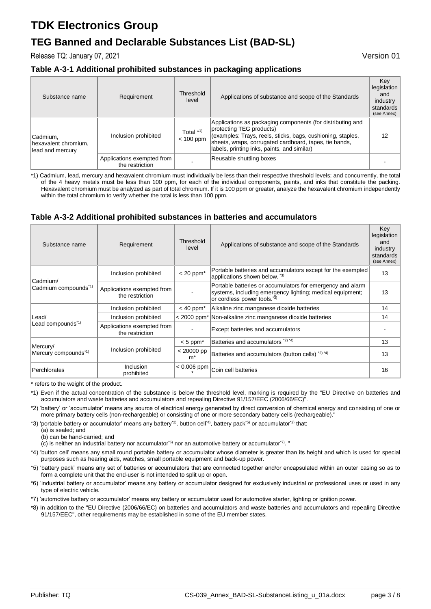## **TEG Banned and Declarable Substances List (BAD-SL)**

Release TQ: January 07, 2021 **Version 01** 

#### **Table A-3-1 Additional prohibited substances in packaging applications**

| Substance name                                       | Requirement                                   | Threshold<br>level        | Applications of substance and scope of the Standards                                                                                                                                                                                                           | Key<br>legislation<br>and<br>industry<br>standards<br>(see Annex) |
|------------------------------------------------------|-----------------------------------------------|---------------------------|----------------------------------------------------------------------------------------------------------------------------------------------------------------------------------------------------------------------------------------------------------------|-------------------------------------------------------------------|
| Cadmium,<br>hexavalent chromium,<br>lead and mercury | Inclusion prohibited                          | Total $*1$<br>$< 100$ ppm | Applications as packaging components (for distributing and<br>protecting TEG products)<br>(examples: Trays, reels, sticks, bags, cushioning, staples,<br>sheets, wraps, corrugated cardboard, tapes, tie bands,<br>labels, printing inks, paints, and similar) | 12                                                                |
|                                                      | Applications exempted from<br>the restriction |                           | Reusable shuttling boxes                                                                                                                                                                                                                                       |                                                                   |

\*1) Cadmium, lead, mercury and hexavalent chromium must individually be less than their respective threshold levels; and concurrently, the total of the 4 heavy metals must be less than 100 ppm, for each of the individual components, paints, and inks that constitute the packing. Hexavalent chromium must be analyzed as part of total chromium. If it is 100 ppm or greater, analyze the hexavalent chromium independently within the total chromium to verify whether the total is less than 100 ppm.

#### **Table A-3-2 Additional prohibited substances in batteries and accumulators**

| Substance name                               | Requirement                                   | Threshold<br>level      | Applications of substance and scope of the Standards                                                                                                               | Key<br>legislation<br>and<br>industry<br>standards<br>(see Annex) |
|----------------------------------------------|-----------------------------------------------|-------------------------|--------------------------------------------------------------------------------------------------------------------------------------------------------------------|-------------------------------------------------------------------|
| Cadmium/<br>Cadmium compounds <sup>*1)</sup> | Inclusion prohibited                          | $< 20$ ppm $*$          | Portable batteries and accumulators except for the exempted<br>applications shown below. *3)                                                                       | 13                                                                |
|                                              | Applications exempted from<br>the restriction |                         | Portable batteries or accumulators for emergency and alarm<br>systems, including emergency lighting; medical equipment;<br>or cordless power tools. <sup>*3)</sup> | 13                                                                |
|                                              | Inclusion prohibited                          | $< 40$ ppm <sup>*</sup> | Alkaline zinc manganese dioxide batteries                                                                                                                          | 14                                                                |
| Lead/                                        | Inclusion prohibited                          |                         | < 2000 ppm <sup>*</sup> Non-alkaline zinc manganese dioxide batteries                                                                                              | 14                                                                |
| Lead compounds <sup>*1)</sup>                | Applications exempted from<br>the restriction |                         | Except batteries and accumulators                                                                                                                                  |                                                                   |
|                                              |                                               | $< 5$ ppm <sup>*</sup>  | Batteries and accumulators *2) *4)                                                                                                                                 | 13                                                                |
| Mercury/<br>Mercury compounds*1)             | Inclusion prohibited                          | < 20000 pp<br>$m^*$     | Batteries and accumulators (button cells) *2) *4)                                                                                                                  | 13                                                                |
| Perchlorates                                 | <b>Inclusion</b><br>prohibited                |                         | $\leq 0.006$ ppm $ _{\text{Coin cell batteries}}$                                                                                                                  | 16                                                                |

\* refers to the weight of the product.

\*1) Even if the actual concentration of the substance is below the threshold level, marking is required by the "EU Directive on batteries and accumulators and waste batteries and accumulators and repealing Directive 91/157/EEC (2006/66/EC)".

- \*2) 'battery' or 'accumulator' means any source of electrical energy generated by direct conversion of chemical energy and consisting of one or more primary battery cells (non-rechargeable) or consisting of one or more secondary battery cells (rechargeable)."
- \*3) 'portable battery or accumulator' means any battery\*2), button cell\*4), battery pack\*5) or accumulator\*2) that:
	- (a) is sealed; and
	- (b) can be hand-carried; and

(c) is neither an industrial battery nor accumulator<sup>\*6)</sup> nor an automotive battery or accumulator<sup>\*7</sup>. "

- \*4) 'button cell' means any small round portable battery or accumulator whose diameter is greater than its height and which is used for special purposes such as hearing aids, watches, small portable equipment and back-up power.
- \*5) 'battery pack' means any set of batteries or accumulators that are connected together and/or encapsulated within an outer casing so as to form a complete unit that the end-user is not intended to split up or open.
- \*6) 'industrial battery or accumulator' means any battery or accumulator designed for exclusively industrial or professional uses or used in any type of electric vehicle.
- \*7) 'automotive battery or accumulator' means any battery or accumulator used for automotive starter, lighting or ignition power.
- \*8) In addition to the "EU Directive (2006/66/EC) on batteries and accumulators and waste batteries and accumulators and repealing Directive 91/157/EEC", other requirements may be established in some of the EU member states.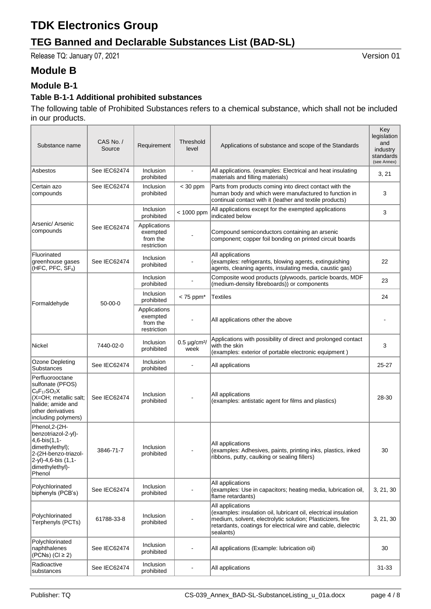## **TEG Banned and Declarable Substances List (BAD-SL)**

Release TQ: January 07, 2021 2008 2009 2009 2012 2021 2012 2021 2022 2030 2041 205 206 207 208 209 2012 2021 20

## **Module B**

## **Module B-1**

## **Table B-1-1 Additional prohibited substances**

The following table of Prohibited Substances refers to a chemical substance, which shall not be included in our products.

| Substance name                                                                                                                                       | CAS No. /<br>Source | Requirement                                         | Threshold<br>level         | Applications of substance and scope of the Standards                                                                                                                                                                             | Key<br>legislation<br>and<br>industry<br>standards<br>(see Annex) |
|------------------------------------------------------------------------------------------------------------------------------------------------------|---------------------|-----------------------------------------------------|----------------------------|----------------------------------------------------------------------------------------------------------------------------------------------------------------------------------------------------------------------------------|-------------------------------------------------------------------|
| Asbestos                                                                                                                                             | See IEC62474        | Inclusion<br>prohibited                             |                            | All applications. (examples: Electrical and heat insulating<br>materials and filling materials)                                                                                                                                  | 3, 21                                                             |
| Certain azo<br>compounds                                                                                                                             | See IEC62474        | Inclusion<br>prohibited                             | $<$ 30 ppm                 | Parts from products coming into direct contact with the<br>human body and which were manufactured to function in<br>continual contact with it (leather and textile products)                                                     | 3                                                                 |
|                                                                                                                                                      |                     | Inclusion<br>prohibited                             | < 1000 ppm                 | All applications except for the exempted applications<br>indicated below                                                                                                                                                         | 3                                                                 |
| Arsenic/ Arsenic<br>compounds                                                                                                                        | See IEC62474        | Applications<br>exempted<br>from the<br>restriction |                            | Compound semiconductors containing an arsenic<br>component; copper foil bonding on printed circuit boards                                                                                                                        |                                                                   |
| Fluorinated<br>greenhouse gases<br>(HFC, PFC, SF <sub>6</sub> )                                                                                      | See IEC62474        | Inclusion<br>prohibited                             |                            | All applications<br>(examples: refrigerants, blowing agents, extinguishing<br>agents, cleaning agents, insulating media, caustic gas)                                                                                            | 22                                                                |
|                                                                                                                                                      |                     | Inclusion<br>prohibited                             |                            | Composite wood products (plywoods, particle boards, MDF<br>(medium-density fibreboards)) or components                                                                                                                           | 23                                                                |
| Formaldehyde                                                                                                                                         | $50 - 00 - 0$       | Inclusion<br>prohibited                             | $< 75$ ppm $*$             | <b>Textiles</b>                                                                                                                                                                                                                  | 24                                                                |
|                                                                                                                                                      |                     | Applications<br>exempted<br>from the<br>restriction |                            | All applications other the above                                                                                                                                                                                                 |                                                                   |
| Nickel                                                                                                                                               | 7440-02-0           | Inclusion<br>prohibited                             | $0.5 \mu g/cm^2$ /<br>week | Applications with possibility of direct and prolonged contact<br>with the skin<br>(examples: exterior of portable electronic equipment)                                                                                          | 3                                                                 |
| Ozone Depleting<br>Substances                                                                                                                        | See IEC62474        | Inclusion<br>prohibited                             | $\blacksquare$             | All applications                                                                                                                                                                                                                 | $25 - 27$                                                         |
| Perfluorooctane<br>sulfonate (PFOS)<br>$ C_8F_{17}SO_2X$<br>(X=OH; metallic salt;<br>halide; amide and<br>other derivatives<br>including polymers)   | See IEC62474        | Inclusion<br>prohibited                             |                            | All applications<br>(examples: antistatic agent for films and plastics)                                                                                                                                                          | 28-30                                                             |
| Phenol, 2-(2H-<br>benzotriazol-2-yl)-<br>4,6-bis(1,1-<br>dimethylethyl);<br>2-(2H-benzo-triazol-<br>2-yl)-4,6-bis (1,1-<br>dimethylethyl)-<br>Phenol | 3846-71-7           | Inclusion<br>prohibited                             |                            | All applications<br>(examples: Adhesives, paints, printing inks, plastics, inked<br>ribbons, putty, caulking or sealing fillers)                                                                                                 | 30                                                                |
| Polychlorinated<br>biphenyls (PCB's)                                                                                                                 | See IEC62474        | Inclusion<br>prohibited                             |                            | All applications<br>(examples: Use in capacitors; heating media, lubrication oil,<br>flame retardants)                                                                                                                           | 3, 21, 30                                                         |
| Polychlorinated<br>Terphenyls (PCTs)                                                                                                                 | 61788-33-8          | Inclusion<br>prohibited                             |                            | All applications<br>(examples: insulation oil, lubricant oil, electrical insulation<br>medium, solvent, electrolytic solution; Plasticizers, fire<br>retardants, coatings for electrical wire and cable, dielectric<br>sealants) | 3, 21, 30                                                         |
| Polychlorinated<br>naphthalenes<br>$(PCNs) (Cl \geq 2)$                                                                                              | See IEC62474        | Inclusion<br>prohibited                             |                            | All applications (Example: lubrication oil)                                                                                                                                                                                      | 30                                                                |
| Radioactive<br>substances                                                                                                                            | See IEC62474        | Inclusion<br>prohibited                             |                            | All applications                                                                                                                                                                                                                 | 31-33                                                             |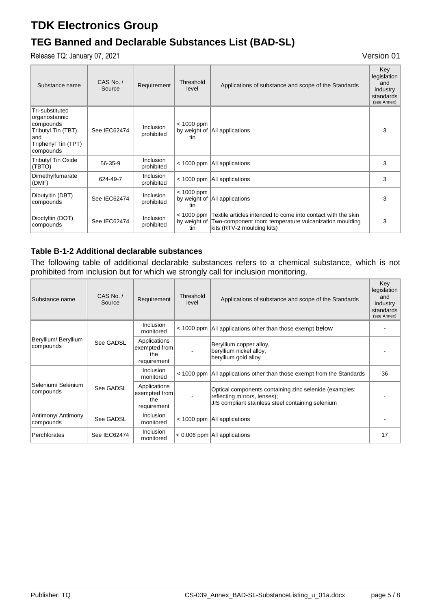## **TEG Banned and Declarable Substances List (BAD-SL)**

Release TQ: January 07, 2021 2008 2009 2009 2012 2021 2012 2021 2022 2030 2041 205 206 207 208 209 2012 2021 20

| Substance name                                                                                                  | CAS No. /<br>Source | Requirement                    | Threshold<br>level  | Applications of substance and scope of the Standards                                                                                                             | Key<br>legislation<br>and<br>industry<br>standards<br>(see Annex) |
|-----------------------------------------------------------------------------------------------------------------|---------------------|--------------------------------|---------------------|------------------------------------------------------------------------------------------------------------------------------------------------------------------|-------------------------------------------------------------------|
| Tri-substituted<br>organostannic<br>compounds<br>Tributyl Tin (TBT)<br>land<br>Triphenyl Tin (TPT)<br>compounds | See IEC62474        | Inclusion<br>prohibited        | $< 1000$ ppm<br>tin | by weight of  All applications                                                                                                                                   | 3                                                                 |
| <b>Tributyl Tin Oxide</b><br>(TBTO)                                                                             | $56-35-9$           | <b>Inclusion</b><br>prohibited |                     | $<$ 1000 ppm   All applications                                                                                                                                  | 3                                                                 |
| Dimethylfumarate<br>(DMF)                                                                                       | 624-49-7            | <b>Inclusion</b><br>prohibited |                     | $<$ 1000 ppm   All applications                                                                                                                                  | 3                                                                 |
| Dibutyltin (DBT)<br>compounds                                                                                   | See IEC62474        | <b>Inclusion</b><br>prohibited | $< 1000$ ppm<br>tin | by weight of  All applications                                                                                                                                   | 3                                                                 |
| Dioctyltin (DOT)<br>compounds                                                                                   | See IEC62474        | <b>Inclusion</b><br>prohibited | $< 1000$ ppm<br>tin | Textile articles intended to come into contact with the skin<br>by weight of Two-component room temperature vulcanization moulding<br>kits (RTV-2 moulding kits) | 3                                                                 |

## **Table B-1-2 Additional declarable substances**

The following table of additional declarable substances refers to a chemical substance, which is not prohibited from inclusion but for which we strongly call for inclusion monitoring.

| <b>Substance name</b>            | CAS No. /<br>Source | Requirement                                         | Threshold<br>level | Applications of substance and scope of the Standards                                                                                        | Key<br>legislation<br>and<br>industry<br>standards<br>(see Annex) |
|----------------------------------|---------------------|-----------------------------------------------------|--------------------|---------------------------------------------------------------------------------------------------------------------------------------------|-------------------------------------------------------------------|
|                                  | See GADSL           | Inclusion<br>monitored                              |                    | < 1000 ppm   All applications other than those exempt below                                                                                 |                                                                   |
| Beryllium/Beryllium<br>compounds |                     | Applications<br>exempted from<br>the<br>requirement |                    | Beryllium copper alloy,<br>beryllium nickel alloy,<br>beryllium gold alloy                                                                  |                                                                   |
| Selenium/Selenium<br>compounds   | See GADSL<br>the    | Inclusion<br>monitored                              |                    | < 1000 ppm   All applications other than those exempt from the Standards                                                                    | 36                                                                |
|                                  |                     | Applications<br>exempted from<br>requirement        |                    | Optical components containing zinc selenide (examples:<br>reflecting mirrors, lenses);<br>JIS compliant stainless steel containing selenium |                                                                   |
| Antimony/ Antimony<br>compounds  | See GADSL           | <b>Inclusion</b><br>monitored                       |                    | $<$ 1000 ppm $ $ All applications                                                                                                           |                                                                   |
| Perchlorates                     | See IEC62474        | Inclusion<br>monitored                              |                    | < 0.006 ppm   All applications                                                                                                              | 17                                                                |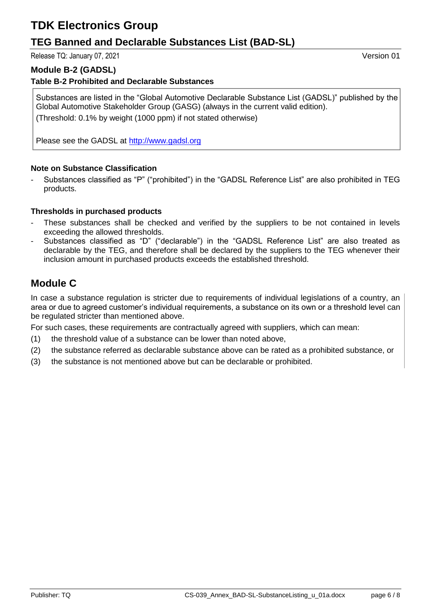## **TEG Banned and Declarable Substances List (BAD-SL)**

Release TQ: January 07, 2021 Version 01

### **Module B-2 (GADSL)**

**Table B-2 Prohibited and Declarable Substances**

Substances are listed in the "Global Automotive Declarable Substance List (GADSL)" published by the Global Automotive Stakeholder Group (GASG) (always in the current valid edition). (Threshold: 0.1% by weight (1000 ppm) if not stated otherwise)

Please see the GADSL at [http://www.gadsl.org](http://www.gadsl.org/)

## **Note on Substance Classification**

Substances classified as "P" ("prohibited") in the "GADSL Reference List" are also prohibited in TEG products.

## **Thresholds in purchased products**

- These substances shall be checked and verified by the suppliers to be not contained in levels exceeding the allowed thresholds.
- Substances classified as "D" ("declarable") in the "GADSL Reference List" are also treated as declarable by the TEG, and therefore shall be declared by the suppliers to the TEG whenever their inclusion amount in purchased products exceeds the established threshold.

## **Module C**

In case a substance regulation is stricter due to requirements of individual legislations of a country, an area or due to agreed customer's individual requirements, a substance on its own or a threshold level can be regulated stricter than mentioned above.

For such cases, these requirements are contractually agreed with suppliers, which can mean:

- (1) the threshold value of a substance can be lower than noted above,
- (2) the substance referred as declarable substance above can be rated as a prohibited substance, or
- (3) the substance is not mentioned above but can be declarable or prohibited.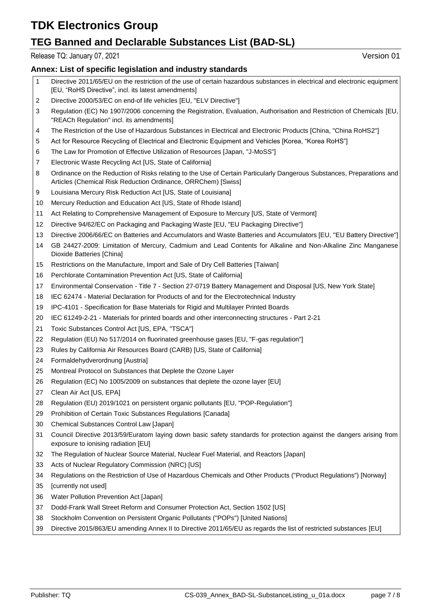## **TEG Banned and Declarable Substances List (BAD-SL)**

#### Release TQ: January 07, 2021 **Version 01**

#### **Annex: List of specific legislation and industry standards**

- Directive 2011/65/EU on the restriction of the use of certain hazardous substances in electrical and electronic equipment [EU, "RoHS Directive", incl. its latest amendments]
- Directive 2000/53/EC on end-of life vehicles [EU, "ELV Directive"]
- Regulation (EC) No 1907/2006 concerning the Registration, Evaluation, Authorisation and Restriction of Chemicals [EU, "REACh Regulation" incl. its amendments]
- The Restriction of the Use of Hazardous Substances in Electrical and Electronic Products [China, "China RoHS2"]
- Act for Resource Recycling of Electrical and Electronic Equipment and Vehicles [Korea, "Korea RoHS"]
- The Law for Promotion of Effective Utilization of Resources [Japan, "J-MoSS"]
- Electronic Waste Recycling Act [US, State of California]
- 8 Ordinance on the Reduction of Risks relating to the Use of Certain Particularly Dangerous Substances, Preparations and Articles (Chemical Risk Reduction Ordinance, ORRChem) [Swiss]
- Louisiana Mercury Risk Reduction Act [US, State of Louisiana]
- Mercury Reduction and Education Act [US, State of Rhode Island]
- Act Relating to Comprehensive Management of Exposure to Mercury [US, State of Vermont]
- Directive 94/62/EC on Packaging and Packaging Waste [EU, "EU Packaging Directive"]
- Directive 2006/66/EC on Batteries and Accumulators and Waste Batteries and Accumulators [EU, "EU Battery Directive"]
- GB 24427-2009: Limitation of Mercury, Cadmium and Lead Contents for Alkaline and Non-Alkaline Zinc Manganese Dioxide Batteries [China]
- Restrictions on the Manufacture, Import and Sale of Dry Cell Batteries [Taiwan]
- Perchlorate Contamination Prevention Act [US, State of California]
- Environmental Conservation Title 7 Section 27-0719 Battery Management and Disposal [US, New York State]
- IEC 62474 Material Declaration for Products of and for the Electrotechnical Industry
- IPC-4101 Specification for Base Materials for Rigid and Multilayer Printed Boards
- IEC 61249-2-21 Materials for printed boards and other interconnecting structures Part 2-21
- Toxic Substances Control Act [US, EPA, "TSCA"]
- Regulation (EU) No 517/2014 on fluorinated greenhouse gases [EU, "F-gas regulation"]
- Rules by California Air Resources Board (CARB) [US, State of California]
- Formaldehydverordnung [Austria]
- Montreal Protocol on Substances that Deplete the Ozone Layer
- Regulation (EC) No 1005/2009 on substances that deplete the ozone layer [EU]
- Clean Air Act [US, EPA]
- Regulation (EU) 2019/1021 on persistent organic pollutants [EU, "POP-Regulation"]
- Prohibition of Certain Toxic Substances Regulations [Canada]
- Chemical Substances Control Law [Japan]
- Council Directive 2013/59/Euratom laying down basic safety standards for protection against the dangers arising from exposure to ionising radiation [EU]
- The Regulation of Nuclear Source Material, Nuclear Fuel Material, and Reactors [Japan]
- Acts of Nuclear Regulatory Commission (NRC) [US]
- Regulations on the Restriction of Use of Hazardous Chemicals and Other Products ("Product Regulations") [Norway]
- [currently not used]
- Water Pollution Prevention Act [Japan]
- Dodd-Frank Wall Street Reform and Consumer Protection Act, Section 1502 [US]
- Stockholm Convention on Persistent Organic Pollutants ("POPs") [United Nations]
- Directive 2015/863/EU amending Annex II to Directive 2011/65/EU as regards the list of restricted substances [EU]